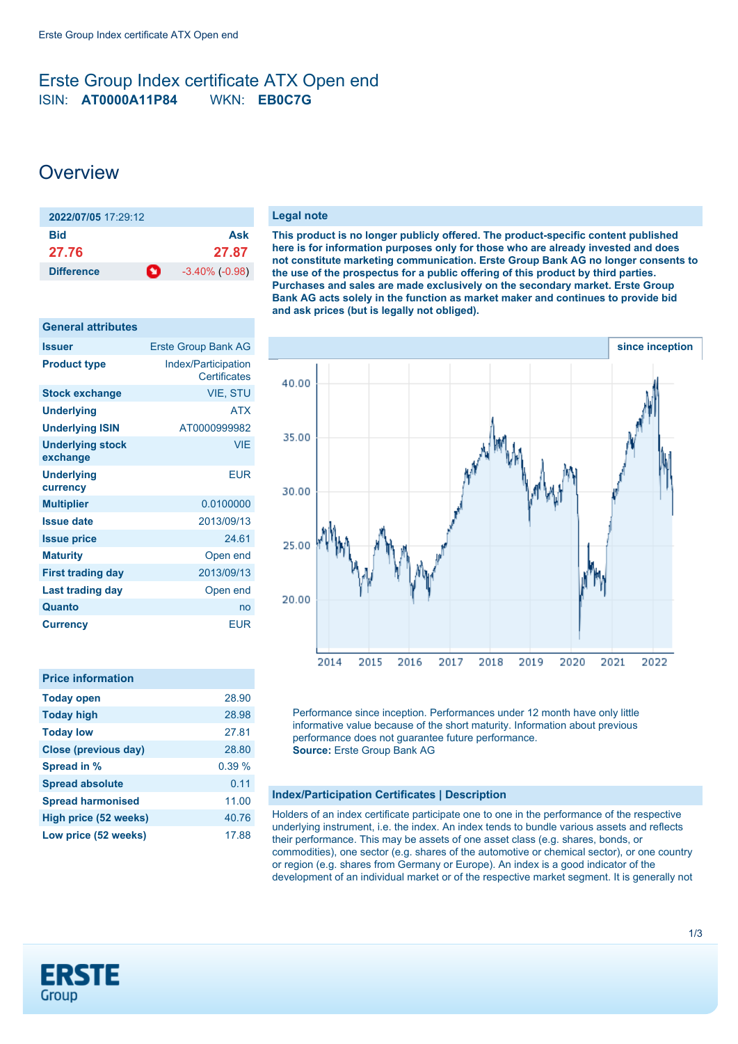### <span id="page-0-0"></span>Erste Group Index certificate ATX Open end ISIN: **AT0000A11P84** WKN: **EB0C7G**

## **Overview**

| 2022/07/05 17:29:12    |                     |
|------------------------|---------------------|
| Bid                    | Ask                 |
| 27.76                  | 27.87               |
| n<br><b>Difference</b> | $-3.40\%$ $(-0.98)$ |

| <b>General attributes</b>           |                                            |
|-------------------------------------|--------------------------------------------|
| <b>Issuer</b>                       | <b>Erste Group Bank AG</b>                 |
| <b>Product type</b>                 | Index/Participation<br><b>Certificates</b> |
| <b>Stock exchange</b>               | VIE, STU                                   |
| Underlying                          | <b>ATX</b>                                 |
| <b>Underlying ISIN</b>              | AT0000999982                               |
| <b>Underlying stock</b><br>exchange | <b>VIE</b>                                 |
| <b>Underlying</b><br>currency       | <b>EUR</b>                                 |
| <b>Multiplier</b>                   | 0.0100000                                  |
| <b>Issue date</b>                   | 2013/09/13                                 |
| <b>Issue price</b>                  | 24.61                                      |
| <b>Maturity</b>                     | Open end                                   |
| <b>First trading day</b>            | 2013/09/13                                 |
| Last trading day                    | Open end                                   |
| Quanto                              | no                                         |
| Currency                            | EUR                                        |

| <b>Price information</b> |       |
|--------------------------|-------|
| <b>Today open</b>        | 28.90 |
| <b>Today high</b>        | 28.98 |
| <b>Today low</b>         | 27.81 |
| Close (previous day)     | 28.80 |
| Spread in %              | 0.39% |
| <b>Spread absolute</b>   | 0.11  |
| <b>Spread harmonised</b> | 11.00 |
| High price (52 weeks)    | 40.76 |
| Low price (52 weeks)     | 17.88 |

#### **Legal note**

**This product is no longer publicly offered. The product-specific content published here is for information purposes only for those who are already invested and does not constitute marketing communication. Erste Group Bank AG no longer consents to the use of the prospectus for a public offering of this product by third parties. Purchases and sales are made exclusively on the secondary market. Erste Group Bank AG acts solely in the function as market maker and continues to provide bid and ask prices (but is legally not obliged).**



Performance since inception. Performances under 12 month have only little informative value because of the short maturity. Information about previous performance does not guarantee future performance. **Source:** Erste Group Bank AG

#### **Index/Participation Certificates | Description**

Holders of an index certificate participate one to one in the performance of the respective underlying instrument, i.e. the index. An index tends to bundle various assets and reflects their performance. This may be assets of one asset class (e.g. shares, bonds, or commodities), one sector (e.g. shares of the automotive or chemical sector), or one country or region (e.g. shares from Germany or Europe). An index is a good indicator of the development of an individual market or of the respective market segment. It is generally not

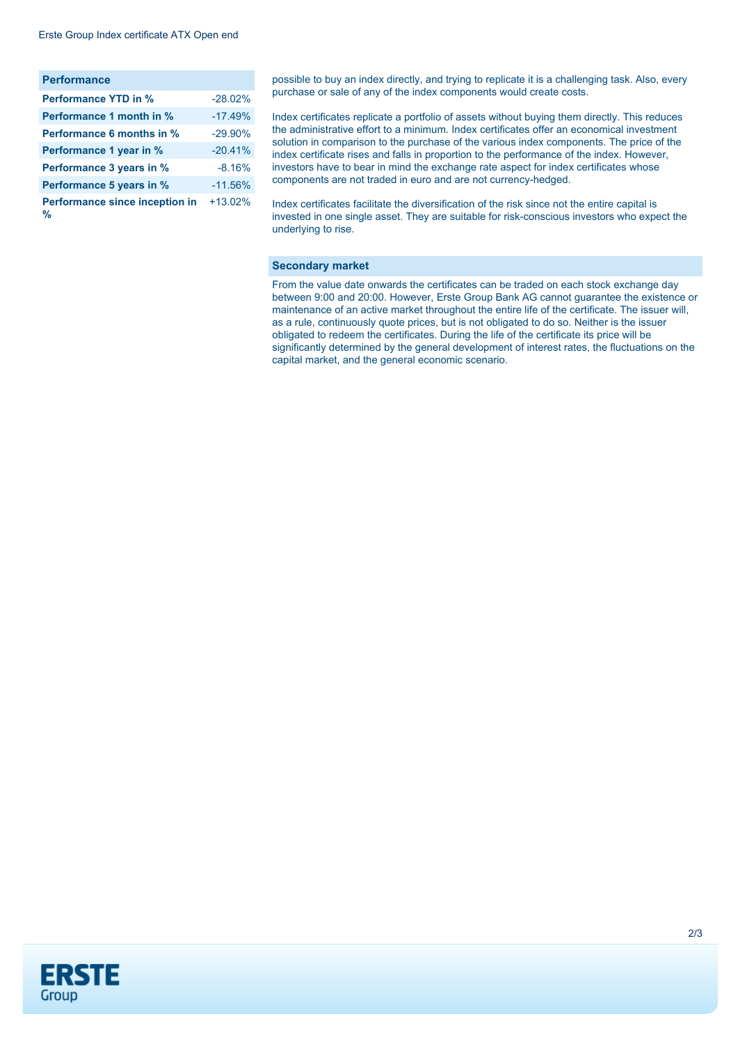| <b>Performance</b>                  |            |
|-------------------------------------|------------|
| <b>Performance YTD in %</b>         | $-28.02\%$ |
| Performance 1 month in %            | $-17.49%$  |
| <b>Performance 6 months in %</b>    | $-29.90\%$ |
| Performance 1 year in %             | $-20.41%$  |
| Performance 3 years in %            | $-8.16%$   |
| Performance 5 years in %            | $-11.56%$  |
| Performance since inception in<br>% | $+13.02%$  |

possible to buy an index directly, and trying to replicate it is a challenging task. Also, every purchase or sale of any of the index components would create costs.

Index certificates replicate a portfolio of assets without buying them directly. This reduces the administrative effort to a minimum. Index certificates offer an economical investment solution in comparison to the purchase of the various index components. The price of the index certificate rises and falls in proportion to the performance of the index. However, investors have to bear in mind the exchange rate aspect for index certificates whose components are not traded in euro and are not currency-hedged.

Index certificates facilitate the diversification of the risk since not the entire capital is invested in one single asset. They are suitable for risk-conscious investors who expect the underlying to rise.

#### **Secondary market**

From the value date onwards the certificates can be traded on each stock exchange day between 9:00 and 20:00. However, Erste Group Bank AG cannot guarantee the existence or maintenance of an active market throughout the entire life of the certificate. The issuer will, as a rule, continuously quote prices, but is not obligated to do so. Neither is the issuer obligated to redeem the certificates. During the life of the certificate its price will be significantly determined by the general development of interest rates, the fluctuations on the capital market, and the general economic scenario.